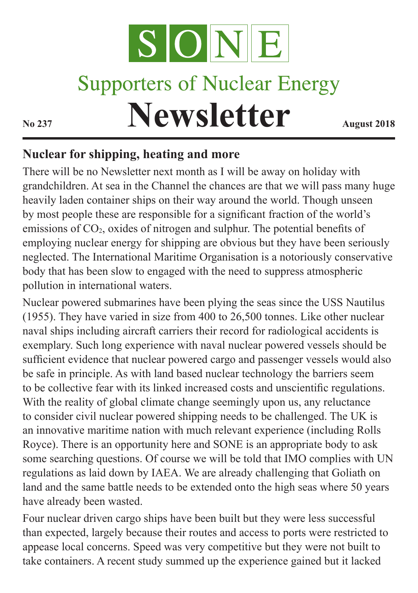

# **Supporters of Nuclear Energy**

**Newsletter August 2018** 

### **Nuclear for shipping, heating and more**

There will be no Newsletter next month as I will be away on holiday with grandchildren. At sea in the Channel the chances are that we will pass many huge heavily laden container ships on their way around the world. Though unseen by most people these are responsible for a significant fraction of the world's emissions of CO<sub>2</sub>, oxides of nitrogen and sulphur. The potential benefits of employing nuclear energy for shipping are obvious but they have been seriously neglected. The International Maritime Organisation is a notoriously conservative body that has been slow to engaged with the need to suppress atmospheric pollution in international waters.

Nuclear powered submarines have been plying the seas since the USS Nautilus (1955). They have varied in size from 400 to 26,500 tonnes. Like other nuclear naval ships including aircraft carriers their record for radiological accidents is exemplary. Such long experience with naval nuclear powered vessels should be sufficient evidence that nuclear powered cargo and passenger vessels would also be safe in principle. As with land based nuclear technology the barriers seem to be collective fear with its linked increased costs and unscientific regulations. With the reality of global climate change seemingly upon us, any reluctance to consider civil nuclear powered shipping needs to be challenged. The UK is an innovative maritime nation with much relevant experience (including Rolls Royce). There is an opportunity here and SONE is an appropriate body to ask some searching questions. Of course we will be told that IMO complies with UN regulations as laid down by IAEA. We are already challenging that Goliath on land and the same battle needs to be extended onto the high seas where 50 years have already been wasted.

Four nuclear driven cargo ships have been built but they were less successful than expected, largely because their routes and access to ports were restricted to appease local concerns. Speed was very competitive but they were not built to take containers. A recent study summed up the experience gained but it lacked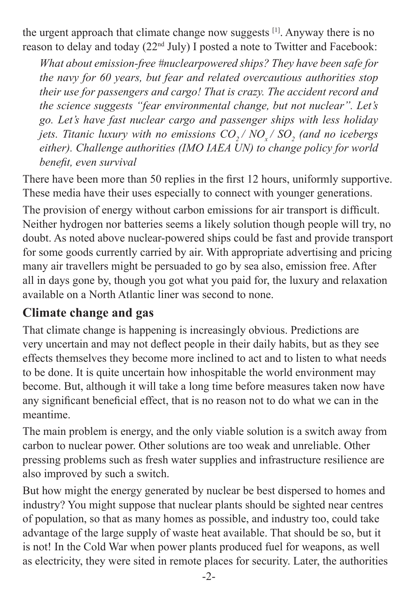the urgent approach that climate change now suggests [1]. Anyway there is no reason to delay and today (22nd July) I posted a note to Twitter and Facebook:

*What about emission-free #nuclearpowered ships? They have been safe for the navy for 60 years, but fear and related overcautious authorities stop their use for passengers and cargo! That is crazy. The accident record and the science suggests "fear environmental change, but not nuclear". Let's go. Let's have fast nuclear cargo and passenger ships with less holiday jets. Titanic luxury with no emissions*  $CO_{2}/\text{ NO}_{x}/\text{ SO}_{2}$  *(and no icebergs either). Challenge authorities (IMO IAEA UN) to change policy for world benefit, even survival*

There have been more than 50 replies in the first 12 hours, uniformly supportive. These media have their uses especially to connect with younger generations.

The provision of energy without carbon emissions for air transport is difficult. Neither hydrogen nor batteries seems a likely solution though people will try, no doubt. As noted above nuclear-powered ships could be fast and provide transport for some goods currently carried by air. With appropriate advertising and pricing many air travellers might be persuaded to go by sea also, emission free. After all in days gone by, though you got what you paid for, the luxury and relaxation available on a North Atlantic liner was second to none.

#### **Climate change and gas**

That climate change is happening is increasingly obvious. Predictions are very uncertain and may not deflect people in their daily habits, but as they see effects themselves they become more inclined to act and to listen to what needs to be done. It is quite uncertain how inhospitable the world environment may become. But, although it will take a long time before measures taken now have any significant beneficial effect, that is no reason not to do what we can in the meantime.

The main problem is energy, and the only viable solution is a switch away from carbon to nuclear power. Other solutions are too weak and unreliable. Other pressing problems such as fresh water supplies and infrastructure resilience are also improved by such a switch.

But how might the energy generated by nuclear be best dispersed to homes and industry? You might suppose that nuclear plants should be sighted near centres of population, so that as many homes as possible, and industry too, could take advantage of the large supply of waste heat available. That should be so, but it is not! In the Cold War when power plants produced fuel for weapons, as well as electricity, they were sited in remote places for security. Later, the authorities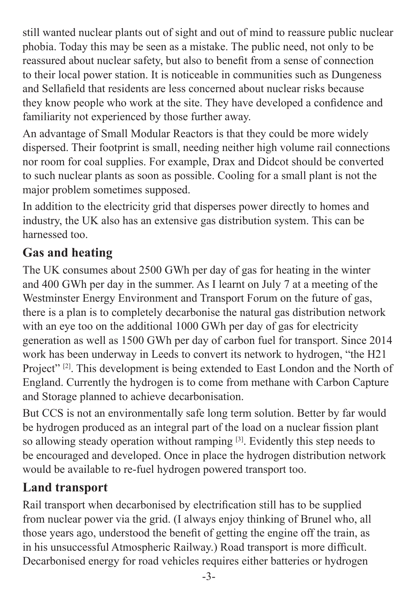still wanted nuclear plants out of sight and out of mind to reassure public nuclear phobia. Today this may be seen as a mistake. The public need, not only to be reassured about nuclear safety, but also to benefit from a sense of connection to their local power station. It is noticeable in communities such as Dungeness and Sellafield that residents are less concerned about nuclear risks because they know people who work at the site. They have developed a confidence and familiarity not experienced by those further away.

An advantage of Small Modular Reactors is that they could be more widely dispersed. Their footprint is small, needing neither high volume rail connections nor room for coal supplies. For example, Drax and Didcot should be converted to such nuclear plants as soon as possible. Cooling for a small plant is not the major problem sometimes supposed.

In addition to the electricity grid that disperses power directly to homes and industry, the UK also has an extensive gas distribution system. This can be harnessed too.

## **Gas and heating**

The UK consumes about 2500 GWh per day of gas for heating in the winter and 400 GWh per day in the summer. As I learnt on July 7 at a meeting of the Westminster Energy Environment and Transport Forum on the future of gas, there is a plan is to completely decarbonise the natural gas distribution network with an eye too on the additional 1000 GWh per day of gas for electricity generation as well as 1500 GWh per day of carbon fuel for transport. Since 2014 work has been underway in Leeds to convert its network to hydrogen, "the H21 Project" <sup>[2]</sup>. This development is being extended to East London and the North of England. Currently the hydrogen is to come from methane with Carbon Capture and Storage planned to achieve decarbonisation.

But CCS is not an environmentally safe long term solution. Better by far would be hydrogen produced as an integral part of the load on a nuclear fission plant so allowing steady operation without ramping [3]. Evidently this step needs to be encouraged and developed. Once in place the hydrogen distribution network would be available to re-fuel hydrogen powered transport too.

## **Land transport**

Rail transport when decarbonised by electrification still has to be supplied from nuclear power via the grid. (I always enjoy thinking of Brunel who, all those years ago, understood the benefit of getting the engine off the train, as in his unsuccessful Atmospheric Railway.) Road transport is more difficult. Decarbonised energy for road vehicles requires either batteries or hydrogen